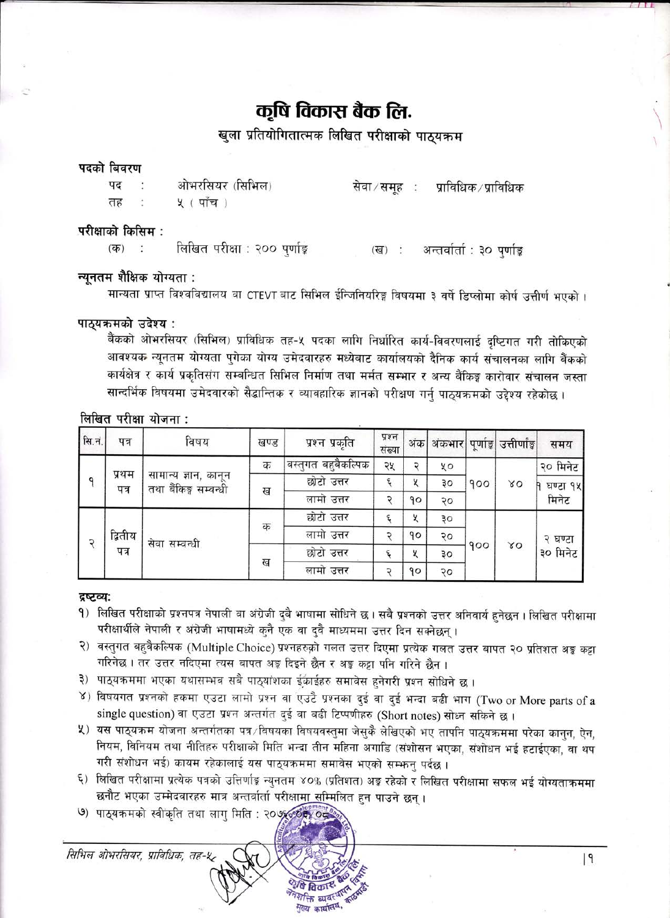# कृषि विकास बैंक लि.

खुला प्रतियोगितात्मक लिखित परीक्षाको पाठयक्रम

#### पदको बिवरण

| पद | ओभरसियर (सिभिल) |  | सेवा ∕ समूह ∶ प्राविधिक ∕ प्राविधिक |
|----|-----------------|--|-------------------------------------|
| तह | ५ (पांच)        |  |                                     |

#### परीक्षाको किसिम :

लिखित परीक्षा : २०० पुर्णाङ्क  $(35)$  $\mathcal{L}$ (ख) : अन्तर्वार्ता : ३० पर्णाङ्ग

### न्यूनतम शैक्षिक योग्यता :

मान्यता प्राप्त विश्वविद्यालय वा CTEVT बाट सिभिल ईन्जिनियरिङ्ग विषयमा ३ वर्षे डिप्लोमा कोर्ष उत्तीर्ण भएको ।

#### पाठ्यक्रमको उदेश्य:

बैंकको ओभरसियर (सिभिल) प्राविधिक तह-५ पदका लागि निर्धारित कार्य-विवरणलाई दुष्टिगत गरी तोकिएको आवश्यक न्यूनतम योग्यता पुगेका योग्य उमेदवारहरु मध्येबाट कार्यालयको दैनिक कार्य संचालनका लागि बैंकको कार्यक्षेत्र र कार्य प्रकृतिसंग सम्बन्धित सिभिल निर्माण तथा मर्मत सम्भार र अन्य बैंकिङ्ग कारोवार संचालन जस्ता सान्दर्भिक विषयमा उमेदवारको सैद्धान्तिक र व्यावहारिक ज्ञानको परीक्षण गर्नु पाठ्यक्रमको उद्देश्य रहेकोछ ।

#### लिखित परीक्षा योजना:

| सि.नं. | पत्र            | विषय                                          | खण्ड | प्रश्न प्रकृति               | प्रश्न<br>संख्या | अंक | अंकभार |     | पूर्णाङ्ग उत्तीर्णाङ्ग | समय                 |
|--------|-----------------|-----------------------------------------------|------|------------------------------|------------------|-----|--------|-----|------------------------|---------------------|
| a      | प्रथम<br>पत्र   | सामान्य ज्ञान, कानून<br>तथा बैंकिङ्ग सम्बन्धी | क    | <u>'वस्तु</u> गत बहुबैकल्पिक | २५               | ⊃   | χo     | 900 | 80                     | २० मिनेट            |
|        |                 |                                               | ख    | छोटो उत्तर                   | ٤                | X   | ąо     |     |                        | घण्टा १५<br>मिनेट   |
|        |                 |                                               |      | लामो उत्तर                   | C                | 90  | २०     |     |                        |                     |
| २      | द्वितीय<br>पत्र | सेवा सम्बन्धी                                 | क    | छोटो उत्तर                   | ٤                | X   | ЗO     | 900 | 80                     | २ घण्टा<br>३० मिनेट |
|        |                 |                                               |      | लामो उत्तर                   | c                | 90  | २०     |     |                        |                     |
|        |                 |                                               |      | छोटो उत्तर                   | ६                | К   | ३०     |     |                        |                     |
|        |                 |                                               | ख    | लामो उत्तर                   |                  | 90  | २०     |     |                        |                     |

#### द्रष्टव्य:

- १) लिखित परीक्षाको प्रश्नपत्र नेपाली वा अंग्रेजी दुबै भाषामा सोधिने छ। सबै प्रश्नको उत्तर अनिवार्य हुनेछन । लिखित परीक्षामा परीक्षार्थीले नेपाली र अंग्रेजी भाषामध्ये कुनै एक वा दुवै माध्यममा उत्तर दिन सक्नेछन्।
- २) वस्तुगत बहुवैकल्पिक (Multiple Choice) प्रश्नहरुक़ो गलत उत्तर दिएमा प्रत्येक गलत उत्तर बापत २० प्रतिशत अड्ड कट्टा गरिनेछ । तर उत्तर नदिएमा त्यस बापत अड़ दिइने छैन र अड़ू कट्टा पनि गरिने छैन ।
- ३) पाठ्यक्रममा भएका यथासम्भव सबै पाठ्यांशका ईकाईहरु समावेस हुनेगरी प्रश्न सोधिने छ ।
- ४) विषयगत प्रश्नको हकमा एउटा लामो प्रश्न वा एउटै प्रश्नका दुई वा दुई भन्दा बढी भाग (Two or More parts of a single question) वा एउटा प्रश्न अन्तर्गत दुई वा बढी टिप्पणीहरु (Short notes) सोध्न सकिने छ।
- ५) यस पाठ्यक्रम योजना अन्तर्गतका पत्र∕विषयका विषयवस्तुमा जेसुकै लेखिएको भए तापनि पाठ्यक्रममा परेका कानुन, ऐन, नियम, विनियम तथा नीतिहरु परीक्षाको मिति भन्दा तीन महिना अगाडि (संशोसन भएका, संशोधन भई हटाईएका, वा थप गरी संशोधन भई) कायम रहेकालाई यस पाठ्यक्रममा समावेस भएको सम्भन्न पर्दछ ।
- ६) लिखित परीक्षामा प्रत्येक पत्रको उत्तिर्णाङ्ग न्युनतम ४०% (प्रतिशत) अङ्ग रहेको र लिखित परीक्षामा सफल भई योग्यताक्रममा छनौट भएका उम्मेदवारहरु मात्र अन्तर्वार्ता परीक्षाम<u>ा स</u>म्मिलित हन पाउने छन्।
- ७) पाठ्यक्रमको स्वीकृति तथा लाग मिति : २०७६० के ००



 $|9|$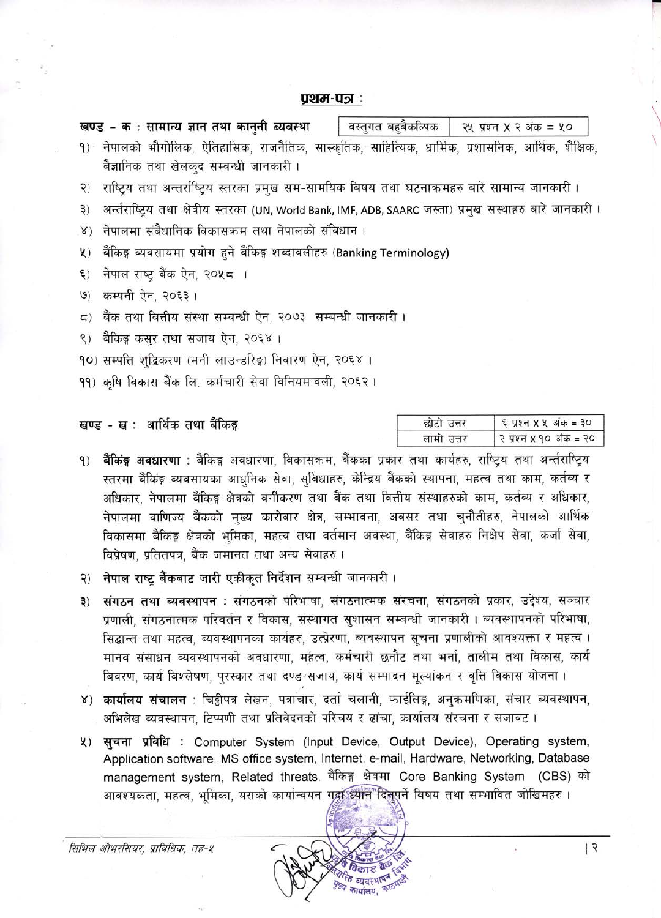#### पथम-पञ्ज:

| खण्ड - क : सामान्य ज्ञान तथा कानुनी ब्यवस्था | वस्तुगत बहुबैकल्पिक   २५ प्रश्न X २ अंक = ५० |
|----------------------------------------------|----------------------------------------------|
|                                              |                                              |

- १) नेपालको भौगोलिक, ऐतिहासिक, राजनैतिक, सास्कृतिक, साहित्यिक, धार्मिक, प्रशासनिक, आर्थिक, शैक्षिक, बैज्ञानिक तथा खेलकुद सम्बन्धी जानकारी।
- २) राष्टिय तथा अन्तर्राष्टिय स्तरका प्रमख सम-सामयिक बिषय तथा घटनाक्रमहरु बारे सामान्य जानकारी ।
- ३) अर्न्तराष्ट्रिय तथा क्षेत्रीय स्तरका (UN, World Bank, IMF, ADB, SAARC जस्ता) प्रमुख सस्थाहरु बारे जानकारी ।
- ४) नेपालमा संबैधानिक विकासक्रम तथा नेपालको संविधान ।
- ५) बैंकिङ्ग ब्यवसायमा प्रयोग हुने बैंकिङ्ग शब्दावलीहरु (Banking Terminology)
- ६) नेपाल राष्ट्र बैंक ऐन, २०५८ ।
- ७) कम्पनी ऐन, २०६३।
- ८) बैंक तथा बित्तीय संस्था सम्बन्धी ऐन. २०७३ सम्बन्धी जानकारी ।
- ९) बैकिङ्ग कसर तथा सजाय ऐन, २०६४।
- 90) सम्पत्ति शद्धिकरण (मनी लाउन्डरिङ्ग) निवारण ऐन, २०६४ ।
- 99) कृषि विकास बैंक लि. कर्मचारी सेवा विनियमावली. २०६२ ।

#### खण्ड - ख: आर्थिक तथा बैंकिङ्ग

| छोटो उत्तर | ६ प्रश्न X X अंक = ३०  |
|------------|------------------------|
| लामा उत्तर | २ प्रश्न x १० अंक = २० |

- बैंकिंङ्ग अवधारणा : बैंकिङ्ग अवधारणा, विकासक्रम, बैंकका प्रकार तथा कार्यहरु, राष्ट्रिय तथा अर्न्तराष्ट्रिय  $9)$ स्तरमा बैंकिंङ्ग ब्यवसायका आधुनिक सेवा, सुबिधाहरु, केन्द्रिय बैंकको स्थापना, महत्व तथा काम, कर्तब्य र अधिकार, नेपालमा बैंकिङ्ग क्षेत्रको वर्गीकरण तथा बैंक तथा वित्तीय संस्थाहरुको काम, कर्तब्य र अधिकार, नेपालमा वाणिज्य बैंकको मुख्य कारोवार क्षेत्र, सम्भावना, अवसर तथा चनौतीहरु, नेपालको आर्थिक विकासमा बैंकिंड्न क्षेत्रको भूमिका, महत्व तथा वर्तमान अवस्था, बैंकिङ्ग सेवाहरु निक्षेप सेवा, कर्जा सेवा, विप्रेषण, प्रतितपत्र, बैंक जमानत तथा अन्य सेवाहरु।
- २) नेपाल राष्ट्र बैंकबाट जारी एकीकृत निर्देशन सम्वन्धी जानकारी।
- ३) संगठन तथा ब्यवस्थापन : संगठनको परिभाषा, संगठनात्मक संरचना, संगठनको प्रकार, उद्देश्य, सञ्चार प्रणाली. संगठनात्मक परिवर्तन र विकास, संस्थागत सुशासन सम्बन्धी जानकारी । ब्यवस्थापनको परिभाषा, सिद्धान्त तथा महत्व, ब्यवस्थापनका कार्यहरु, उत्प्रेरणा, ब्यवस्थापन सूचना प्रणालीको आवश्यक्ता र महत्व । मानव संसाधन व्यवस्थापनको अवधारणा, महत्व, कर्मचारी छनौट तथा भर्ना, तालीम तथा विकास, कार्य बिवरण, कार्य बिश्लेषण, परस्कार तथा दण्ड सजाय, कार्य सम्पादन मुल्यांकन र वृत्ति विकास योजना।
- ४) कार्यालय संचालन : चिठ्ठीपत्र लेखन, पत्राचार, दर्ता चलानी, फाईलिङ्ग, अनुक्रमणिका, संचार ब्यवस्थापन, अभिलेख ब्यवस्थापन, टिप्पणी तथा प्रतिवेदनको परिचय र ढांचा, कार्यालय संरचना र सजावट।
- ५) सूचना प्रविधि : Computer System (Input Device, Output Device), Operating system, Application software, MS office system, Internet, e-mail, Hardware, Networking, Database management system, Related threats. बैंकिङ्ग क्षेत्रमा Core Banking System (CBS) को आवश्यकता. महत्व. भूमिका. यसको कार्यान्वयन गर्द्राध्यान दिनपुर्ने बिषय तथा सम्भावित जोखिमहरु।

सिभिल ओभरसियर, प्राविधिक, तह-४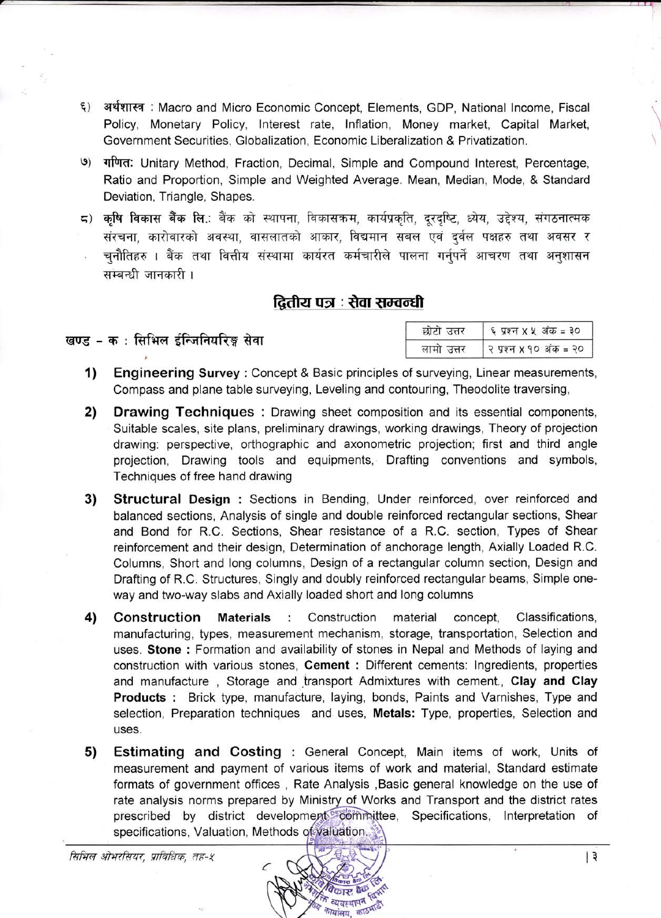- ६) अर्थशास्त्र: Macro and Micro Economic Concept, Elements, GDP, National Income, Fiscal Policy, Monetary Policy, Interest rate, Inflation, Money market, Capital Market, Government Securities, Globalization, Economic Liberalization & Privatization.
- $\mathcal{G}$ गणित: Unitary Method, Fraction, Decimal, Simple and Compound Interest, Percentage, Ratio and Proportion, Simple and Weighted Average. Mean, Median, Mode, & Standard Deviation, Triangle, Shapes.
- ८) कषि विकास बैंक लि.: बैंक को स्थापना, विकासक्रम, कार्यप्रकृति, दूरदृष्टि, ध्येय, उद्देश्य, संगठनात्मक संरचना, कारोवारको अवस्था, वासलातको आकार, विद्यमान सबल एवं दर्वल पक्षहरु तथा अवसर र चनौतिहरु । बैंक तथा वित्तीय संस्थामा कार्यरत कर्मचारीले पालना गर्नपर्ने आचरण तथा अनशासन सम्बन्धी जानकारी।

## दितीय पत्र : सेवा सम्वन्धी

#### खण्ड - क : सिभिल ईन्जिनियरिङ्ग सेवा

| छोटो उत्तर | ६ प्रश्न X X अंक = ३०  |
|------------|------------------------|
| लामा उत्तर | २ प्रश्न X १० अंक = २० |

- $\overline{1}$ **Engineering Survey: Concept & Basic principles of surveying, Linear measurements,** Compass and plane table surveying, Leveling and contouring, Theodolite traversing.
- 2) **Drawing Techniques:** Drawing sheet composition and its essential components, Suitable scales, site plans, preliminary drawings, working drawings, Theory of projection drawing: perspective, orthographic and axonometric projection; first and third angle projection. Drawing tools and equipments. Drafting conventions and symbols, Techniques of free hand drawing
- $3)$ **Structural Design:** Sections in Bending, Under reinforced, over reinforced and balanced sections, Analysis of single and double reinforced rectangular sections. Shear and Bond for R.C. Sections, Shear resistance of a R.C. section, Types of Shear reinforcement and their design, Determination of anchorage length, Axially Loaded R.C. Columns. Short and long columns. Design of a rectangular column section. Design and Drafting of R.C. Structures, Singly and doubly reinforced rectangular beams, Simple oneway and two-way slabs and Axially loaded short and long columns
- 4) Construction Classifications. Construction **Materials**  $\mathcal{L}$ material concept, manufacturing, types, measurement mechanism, storage, transportation, Selection and uses. Stone: Formation and availability of stones in Nepal and Methods of laying and construction with various stones. Cement: Different cements: Ingredients, properties and manufacture, Storage and transport Admixtures with cement., Clay and Clay Products: Brick type, manufacture, laying, bonds, Paints and Varnishes, Type and selection, Preparation techniques and uses, Metals: Type, properties, Selection and uses.
- 5) **Estimating and Costing: General Concept, Main items of work, Units of** measurement and payment of various items of work and material. Standard estimate formats of government offices, Rate Analysis, Basic general knowledge on the use of rate analysis norms prepared by Ministry of Works and Transport and the district rates prescribed by district development<sup>pe</sup>committee. Specifications, Interpretation of specifications, Valuation, Methods of valuation.

सिभिल ओभरसियर, प्राविधिक, तह-१